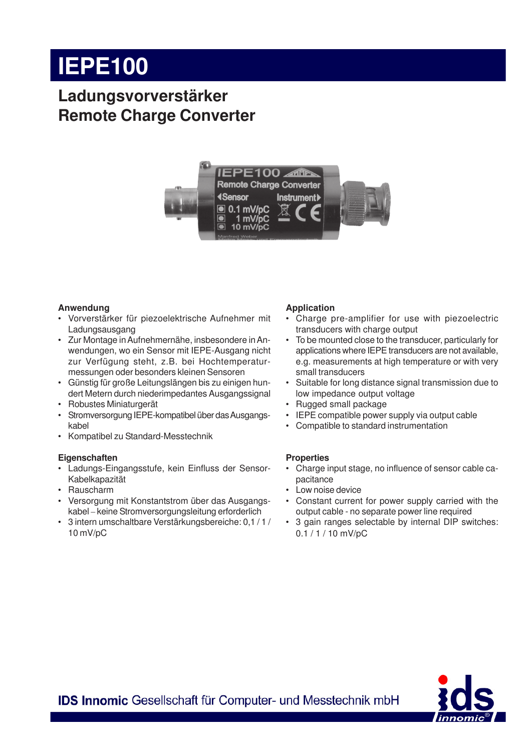# **IEPE100**

### **Ladungsvorverstärker Remote Charge Converter**



#### **Anwendung**

- Vorverstärker für piezoelektrische Aufnehmer mit Ladungsausgang
- Zur Montage in Aufnehmernähe, insbesondere in Anwendungen, wo ein Sensor mit IEPE-Ausgang nicht zur Verfügung steht, z.B. bei Hochtemperaturmessungen oder besonders kleinen Sensoren
- Günstig für große Leitungslängen bis zu einigen hundert Metern durch niederimpedantes Ausgangssignal
- Robustes Miniaturgerät
- Stromversorgung IEPE-kompatibel über das Ausgangskabel
- Kompatibel zu Standard-Messtechnik

#### **Eigenschaften**

- Ladungs-Eingangsstufe, kein Einfluss der Sensor-Kabelkapazität
- Rauscharm
- Versorgung mit Konstantstrom über das Ausgangskabel – keine Stromversorgungsleitung erforderlich
- 3 intern umschaltbare Verstärkungsbereiche: 0,1 / 1 / 10 mV/pC

#### **Application**

- Charge pre-amplifier for use with piezoelectric transducers with charge output
- To be mounted close to the transducer, particularly for applications where IEPE transducers are not available, e.g. measurements at high temperature or with very small transducers
- Suitable for long distance signal transmission due to low impedance output voltage
- Rugged small package
- IEPE compatible power supply via output cable
- Compatible to standard instrumentation

#### **Properties**

- Charge input stage, no influence of sensor cable capacitance
- Low noise device
- Constant current for power supply carried with the output cable - no separate power line required
- 3 gain ranges selectable by internal DIP switches: 0.1 / 1 / 10 mV/pC



**IDS Innomic Gesellschaft für Computer- und Messtechnik mbH**